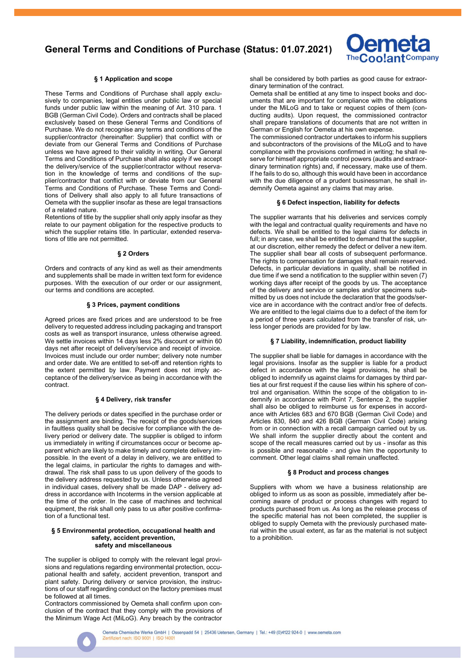

## § 1 Application and scope

These Terms and Conditions of Purchase shall apply exclusively to companies, legal entities under public law or special funds under public law within the meaning of Art. 310 para. 1 BGB (German Civil Code). Orders and contracts shall be placed exclusively based on these General Terms and Conditions of Purchase. We do not recognise any terms and conditions of the supplier/contractor (hereinafter: Supplier) that conflict with or deviate from our General Terms and Conditions of Purchase unless we have agreed to their validity in writing. Our General Terms and Conditions of Purchase shall also apply if we accept the delivery/service of the supplier/contractor without reservation in the knowledge of terms and conditions of the supplier/contractor that conflict with or deviate from our General Terms and Conditions of Purchase. These Terms and Conditions of Delivery shall also apply to all future transactions of Oemeta with the supplier insofar as these are legal transactions of a related nature.

Retentions of title by the supplier shall only apply insofar as they relate to our payment obligation for the respective products to which the supplier retains title. In particular, extended reservations of title are not permitted.

#### § 2 Orders

Orders and contracts of any kind as well as their amendments and supplements shall be made in written text form for evidence purposes. With the execution of our order or our assignment, our terms and conditions are accepted.

#### § 3 Prices, payment conditions

Agreed prices are fixed prices and are understood to be free delivery to requested address including packaging and transport costs as well as transport insurance, unless otherwise agreed. We settle invoices within 14 days less 2% discount or within 60 days net after receipt of delivery/service and receipt of invoice. Invoices must include our order number; delivery note number and order date. We are entitled to set-off and retention rights to the extent permitted by law. Payment does not imply acceptance of the delivery/service as being in accordance with the contract.

#### § 4 Delivery, risk transfer

The delivery periods or dates specified in the purchase order or the assignment are binding. The receipt of the goods/services in faultless quality shall be decisive for compliance with the delivery period or delivery date. The supplier is obliged to inform us immediately in writing if circumstances occur or become apparent which are likely to make timely and complete delivery impossible. ln the event of a delay in delivery, we are entitled to the legal claims, in particular the rights to damages and withdrawal. The risk shall pass to us upon delivery of the goods to the delivery address requested by us. Unless otherwise agreed in individual cases, delivery shall be made DAP - delivery address in accordance with Incoterms in the version applicable at the time of the order. In the case of machines and technical equipment, the risk shall only pass to us after positive confirmation of a functional test.

#### § 5 Environmental protection, occupational health and safety, accident prevention, safety and miscellaneous

The supplier is obliged to comply with the relevant legal provisions and regulations regarding environmental protection, occupational health and safety, accident prevention, transport and plant safety. During delivery or service provision, the instructions of our staff regarding conduct on the factory premises must be followed at all times.

Contractors commissioned by Oemeta shall confirm upon conclusion of the contract that they comply with the provisions of the Minimum Wage Act (MiLoG). Any breach by the contractor shall be considered by both parties as good cause for extraordinary termination of the contract.

Oemeta shall be entitled at any time to inspect books and documents that are important for compliance with the obligations under the MiLoG and to take or request copies of them (conducting audits). Upon request, the commissioned contractor shall prepare translations of documents that are not written in German or English for Oemeta at his own expense.

The commissioned contractor undertakes to inform his suppliers and subcontractors of the provisions of the MiLoG and to have compliance with the provisions confirmed in writing; he shall reserve for himself appropriate control powers (audits and extraordinary termination rights) and, if necessary, make use of them. If he fails to do so, although this would have been in accordance with the due diligence of a prudent businessman, he shall indemnify Oemeta against any claims that may arise.

# § 6 Defect inspection, liability for defects

The supplier warrants that his deliveries and services comply with the legal and contractual quality requirements and have no defects. We shall be entitled to the legal claims for defects in full; in any case, we shall be entitled to demand that the supplier, at our discretion, either remedy the defect or deliver a new item. The supplier shall bear all costs of subsequent performance. The rights to compensation for damages shall remain reserved. Defects, in particular deviations in quality, shall be notified in due time if we send a notification to the supplier within seven (7) working days after receipt of the goods by us. The acceptance of the delivery and service or samples and/or specimens submitted by us does not include the declaration that the goods/service are in accordance with the contract and/or free of defects. We are entitled to the legal claims due to a defect of the item for a period of three years calculated from the transfer of risk, unless longer periods are provided for by law.

# § 7 Liability, indemnification, product liability

The supplier shall be liable for damages in accordance with the legal provisions. Insofar as the supplier is liable for a product defect in accordance with the legal provisions, he shall be obliged to indemnify us against claims for damages by third parties at our first request if the cause lies within his sphere of control and organisation. Within the scope of the obligation to indemnify in accordance with Point 7, Sentence 2, the supplier shall also be obliged to reimburse us for expenses in accordance with Articles 683 and 670 BGB (German Civil Code) and Articles 830, 840 and 426 BGB (German Civil Code) arising from or in connection with a recall campaign carried out by us. We shall inform the supplier directly about the content and scope of the recall measures carried out by us - insofar as this is possible and reasonable - and give him the opportunity to comment. Other legal claims shall remain unaffected.

# § 8 Product and process changes

Suppliers with whom we have a business relationship are obliged to inform us as soon as possible, immediately after becoming aware of product or process changes with regard to products purchased from us. As long as the release process of the specific material has not been completed, the supplier is obliged to supply Oemeta with the previously purchased material within the usual extent, as far as the material is not subject to a prohibition.